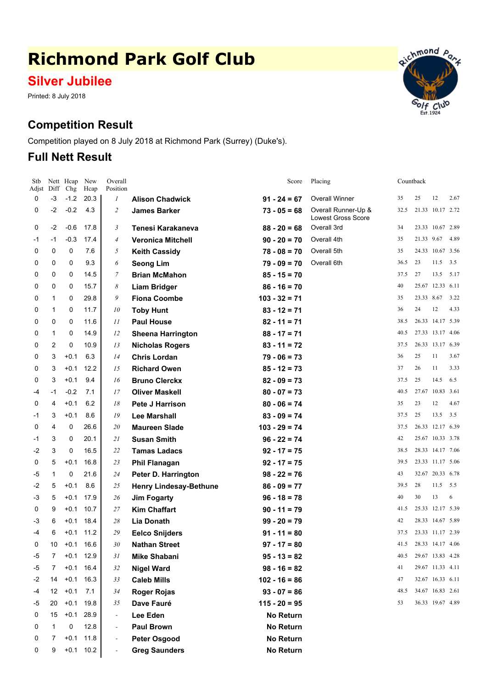# **Richmond Park Golf Club**

## **Silver Jubilee**

Printed: 8 July 2018

## **Competition Result**

Competition played on 8 July 2018 at Richmond Park (Surrey) (Duke's).

### **Full Nett Result**



| Stb        |                 | Nett Heap     | New          | Overall<br>Position |                               | Score            | Placing                                          |      | Countback             |                  |      |
|------------|-----------------|---------------|--------------|---------------------|-------------------------------|------------------|--------------------------------------------------|------|-----------------------|------------------|------|
| Adjst<br>0 | Diff<br>$-3$    | Chg<br>$-1.2$ | Hcap<br>20.3 | 1                   | <b>Alison Chadwick</b>        | $91 - 24 = 67$   | <b>Overall Winner</b>                            | 35   | 25                    | 12               | 2.67 |
| 0          | $-2$            | $-0.2$        | 4.3          | $\overline{c}$      | <b>James Barker</b>           | $73 - 05 = 68$   | Overall Runner-Up &<br><b>Lowest Gross Score</b> | 32.5 |                       | 21.33 10.17 2.72 |      |
| 0          | $-2$            | $-0.6$        | 17.8         | 3                   | Tenesi Karakaneva             | $88 - 20 = 68$   | Overall 3rd                                      | 34   |                       | 23.33 10.67 2.89 |      |
| -1         | $-1$            | $-0.3$        | 17.4         | $\overline{4}$      | <b>Veronica Mitchell</b>      | $90 - 20 = 70$   | Overall 4th                                      | 35   | 21.33 9.67            |                  | 4.89 |
| 0          | 0               | 0             | 7.6          | 5                   | <b>Keith Cassidy</b>          | $78 - 08 = 70$   | Overall 5th                                      | 35   |                       | 24.33 10.67 3.56 |      |
| 0          | 0               | 0             | 9.3          | 6                   | <b>Seong Lim</b>              | $79 - 09 = 70$   | Overall 6th                                      | 36.5 | 23                    | 11.5             | 3.5  |
| 0          | 0               | 0             | 14.5         | 7                   | <b>Brian McMahon</b>          | $85 - 15 = 70$   |                                                  | 37.5 | 27                    | 13.5             | 5.17 |
| 0          | 0               | 0             | 15.7         | 8                   | <b>Liam Bridger</b>           | $86 - 16 = 70$   |                                                  | 40   |                       | 25.67 12.33 6.11 |      |
| 0          | 1               | 0             | 29.8         | 9                   | <b>Fiona Coombe</b>           | $103 - 32 = 71$  |                                                  | 35   | 23.33 8.67            |                  | 3.22 |
| 0          | 1               | 0             | 11.7         | 10                  | <b>Toby Hunt</b>              | $83 - 12 = 71$   |                                                  | 36   | 24                    | 12               | 4.33 |
| 0          | 0               | 0             | 11.6         | 11                  | <b>Paul House</b>             | $82 - 11 = 71$   |                                                  | 38.5 |                       | 26.33 14.17 5.39 |      |
| 0          | 1               | 0             | 14.9         | 12                  | <b>Sheena Harrington</b>      | $88 - 17 = 71$   |                                                  | 40.5 |                       | 27.33 13.17 4.06 |      |
| 0          | 2               | 0             | 10.9         | 13                  | <b>Nicholas Rogers</b>        | $83 - 11 = 72$   |                                                  | 37.5 |                       | 26.33 13.17 6.39 |      |
| 0          | 3               | $+0.1$        | 6.3          | 14                  | <b>Chris Lordan</b>           | $79 - 06 = 73$   |                                                  | 36   | 25                    | 11               | 3.67 |
| 0          | 3               | $+0.1$        | 12.2         | 15                  | <b>Richard Owen</b>           | $85 - 12 = 73$   |                                                  | 37   | 26                    | 11               | 3.33 |
| 0          | 3               | $+0.1$        | 9.4          | 16                  | <b>Bruno Clerckx</b>          | $82 - 09 = 73$   |                                                  | 37.5 | 25                    | 14.5             | 6.5  |
| -4         | $-1$            | $-0.2$        | 7.1          | 17                  | <b>Oliver Maskell</b>         | $80 - 07 = 73$   |                                                  | 40.5 |                       | 27.67 10.83 3.61 |      |
| 0          | 4               | $+0.1$        | 6.2          | 18                  | Pete J Harrison               | $80 - 06 = 74$   |                                                  | 35   | 23                    | 12               | 4.67 |
| -1         | 3               | $+0.1$        | 8.6          | 19                  | <b>Lee Marshall</b>           | $83 - 09 = 74$   |                                                  | 37.5 | 25                    | 13.5             | 3.5  |
| 0          | 4               | 0             | 26.6         | 20                  | <b>Maureen Slade</b>          | $103 - 29 = 74$  |                                                  | 37.5 |                       | 26.33 12.17 6.39 |      |
| -1         | 3               | 0             | 20.1         | 21                  | <b>Susan Smith</b>            | $96 - 22 = 74$   |                                                  | 42   |                       | 25.67 10.33 3.78 |      |
| -2         | 3               | 0             | 16.5         | 22                  | <b>Tamas Ladacs</b>           | $92 - 17 = 75$   |                                                  | 38.5 |                       | 28.33 14.17 7.06 |      |
| 0          | 5               | $+0.1$        | 16.8         | 23                  | <b>Phil Flanagan</b>          | $92 - 17 = 75$   |                                                  | 39.5 |                       | 23.33 11.17 5.06 |      |
| $-5$       | $\mathbf{1}$    | 0             | 21.6         | 24                  | Peter D. Harrington           | $98 - 22 = 76$   |                                                  | 43   |                       | 32.67 20.33 6.78 |      |
| -2         | 5               | $+0.1$        | 8.6          | 25                  | <b>Henry Lindesay-Bethune</b> | $86 - 09 = 77$   |                                                  | 39.5 | 28                    | 11.5             | 5.5  |
| -3         | 5               | $+0.1$        | 17.9         | 26                  | <b>Jim Fogarty</b>            | $96 - 18 = 78$   |                                                  | 40   | 30                    | 13               | 6    |
| 0          | 9               | $+0.1$        | 10.7         | 27                  | <b>Kim Chaffart</b>           | $90 - 11 = 79$   |                                                  | 41.5 |                       | 25.33 12.17 5.39 |      |
| -3         | 6               | $+0.1$        | 18.4         | 28                  | Lia Donath                    | $99 - 20 = 79$   |                                                  | 42   |                       | 28.33 14.67 5.89 |      |
| $-4$       | 6               | $+0.1$        | 11.2         | 29                  | <b>Eelco Snijders</b>         | $91 - 11 = 80$   |                                                  | 37.5 |                       | 23.33 11.17 2.39 |      |
| 0          | 10 <sup>°</sup> | $+0.1$ 16.6   |              | $30\,$              | <b>Nathan Street</b>          | $97 - 17 = 80$   |                                                  |      | 41.5 28.33 14.17 4.06 |                  |      |
| -5         | 7               |               | $+0.1$ 12.9  | 31                  | <b>Mike Shabani</b>           | $95 - 13 = 82$   |                                                  | 40.5 |                       | 29.67 13.83 4.28 |      |
| -5         | 7               | $+0.1$        | 16.4         | 32                  | <b>Nigel Ward</b>             | $98 - 16 = 82$   |                                                  | 41   |                       | 29.67 11.33 4.11 |      |
| -2         | 14              | $+0.1$        | 16.3         | 33                  | <b>Caleb Mills</b>            | $102 - 16 = 86$  |                                                  | 47   |                       | 32.67 16.33 6.11 |      |
| $-4$       | 12              | $+0.1$        | 7.1          | 34                  | <b>Roger Rojas</b>            | $93 - 07 = 86$   |                                                  | 48.5 |                       | 34.67 16.83 2.61 |      |
| -5         | 20              | $+0.1$        | 19.8         | 35                  | Dave Fauré                    | $115 - 20 = 95$  |                                                  | 53   |                       | 36.33 19.67 4.89 |      |
| 0          | 15              |               | $+0.1$ 28.9  |                     | Lee Eden                      | <b>No Return</b> |                                                  |      |                       |                  |      |
| 0          | 1               | 0             | 12.8         |                     | <b>Paul Brown</b>             | <b>No Return</b> |                                                  |      |                       |                  |      |
| 0          | 7               | $+0.1$        | 11.8         |                     | <b>Peter Osgood</b>           | <b>No Return</b> |                                                  |      |                       |                  |      |
| 0          | 9               |               | $+0.1$ 10.2  |                     | <b>Greg Saunders</b>          | No Return        |                                                  |      |                       |                  |      |